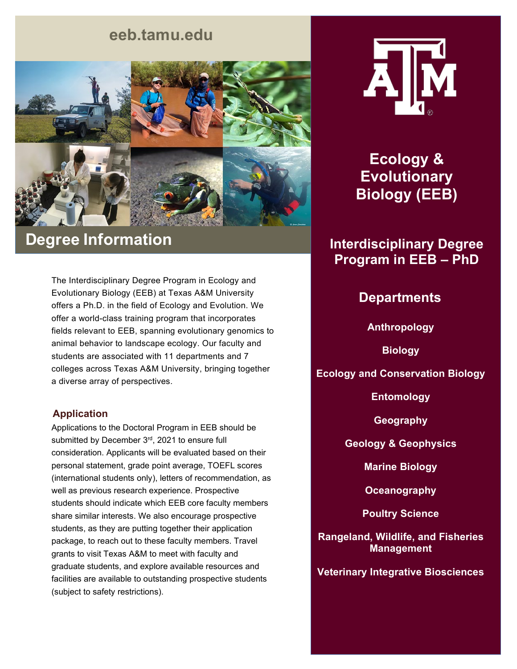## **eeb.tamu.edu**



# **Degree Information**

The Interdisciplinary Degree Program in Ecology and Evolutionary Biology (EEB) at Texas A&M University offers a Ph.D. in the field of Ecology and Evolution. We offer a world-class training program that incorporates fields relevant to EEB, spanning evolutionary genomics to animal behavior to landscape ecology. Our faculty and students are associated with 11 departments and 7 colleges across Texas A&M University, bringing together a diverse array of perspectives.

#### **Application**

Applications to the Doctoral Program in EEB should be submitted by December 3rd, 2021 to ensure full consideration. Applicants will be evaluated based on their personal statement, grade point average, TOEFL scores (international students only), letters of recommendation, as well as previous research experience. Prospective students should indicate which EEB core faculty members share similar interests. We also encourage prospective students, as they are putting together their application package, to reach out to these faculty members. Travel grants to visit Texas A&M to meet with faculty and graduate students, and explore available resources and facilities are available to outstanding prospective students (subject to safety restrictions).



**Ecology & Evolutionary Biology (EEB)**

## **Interdisciplinary Degree Program in EEB – PhD**

### **Departments**

**Anthropology**

**Biology**

**Ecology and Conservation Biology**

**Entomology**

**Geography**

**Geology & Geophysics**

**Marine Biology**

**Oceanography**

**Poultry Science**

**Rangeland, Wildlife, and Fisheries Management**

**Veterinary Integrative Biosciences**